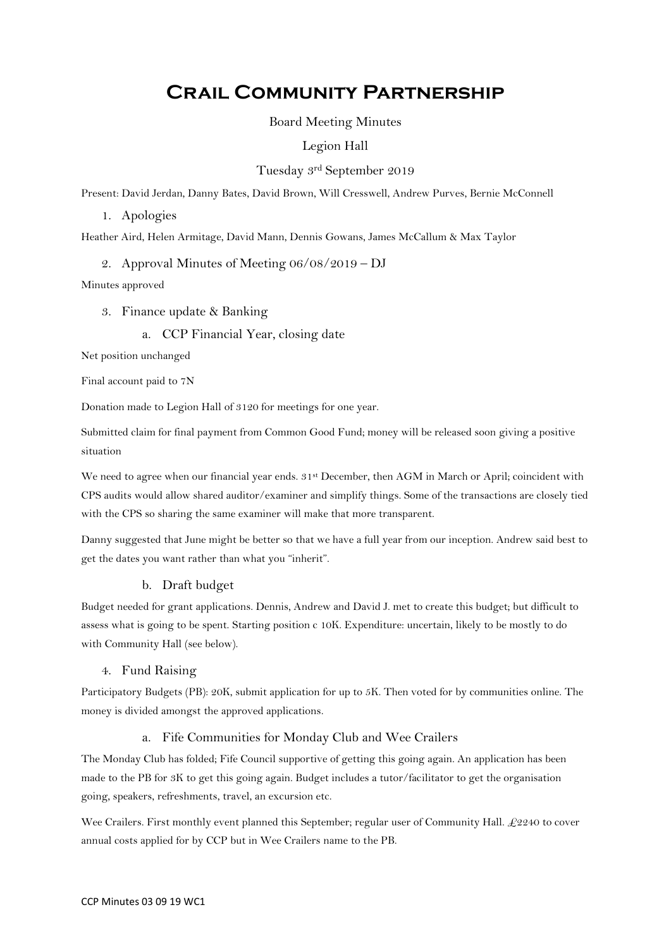# **Crail Community Partnership**

# Board Meeting Minutes

# Legion Hall

# Tuesday 3rd September 2019

Present: David Jerdan, Danny Bates, David Brown, Will Cresswell, Andrew Purves, Bernie McConnell

1. Apologies

Heather Aird, Helen Armitage, David Mann, Dennis Gowans, James McCallum & Max Taylor

2. Approval Minutes of Meeting 06/08/2019 – DJ

Minutes approved

3. Finance update & Banking

# a. CCP Financial Year, closing date

Net position unchanged

Final account paid to 7N

Donation made to Legion Hall of 3120 for meetings for one year.

Submitted claim for final payment from Common Good Fund; money will be released soon giving a positive situation

We need to agree when our financial year ends.  $31^{st}$  December, then AGM in March or April; coincident with CPS audits would allow shared auditor/examiner and simplify things. Some of the transactions are closely tied with the CPS so sharing the same examiner will make that more transparent.

Danny suggested that June might be better so that we have a full year from our inception. Andrew said best to get the dates you want rather than what you "inherit".

# b. Draft budget

Budget needed for grant applications. Dennis, Andrew and David J. met to create this budget; but difficult to assess what is going to be spent. Starting position c 10K. Expenditure: uncertain, likely to be mostly to do with Community Hall (see below).

# 4. Fund Raising

Participatory Budgets (PB): 20K, submit application for up to 5K. Then voted for by communities online. The money is divided amongst the approved applications.

# a. Fife Communities for Monday Club and Wee Crailers

The Monday Club has folded; Fife Council supportive of getting this going again. An application has been made to the PB for 3K to get this going again. Budget includes a tutor/facilitator to get the organisation going, speakers, refreshments, travel, an excursion etc.

Wee Crailers. First monthly event planned this September; regular user of Community Hall. £2240 to cover annual costs applied for by CCP but in Wee Crailers name to the PB.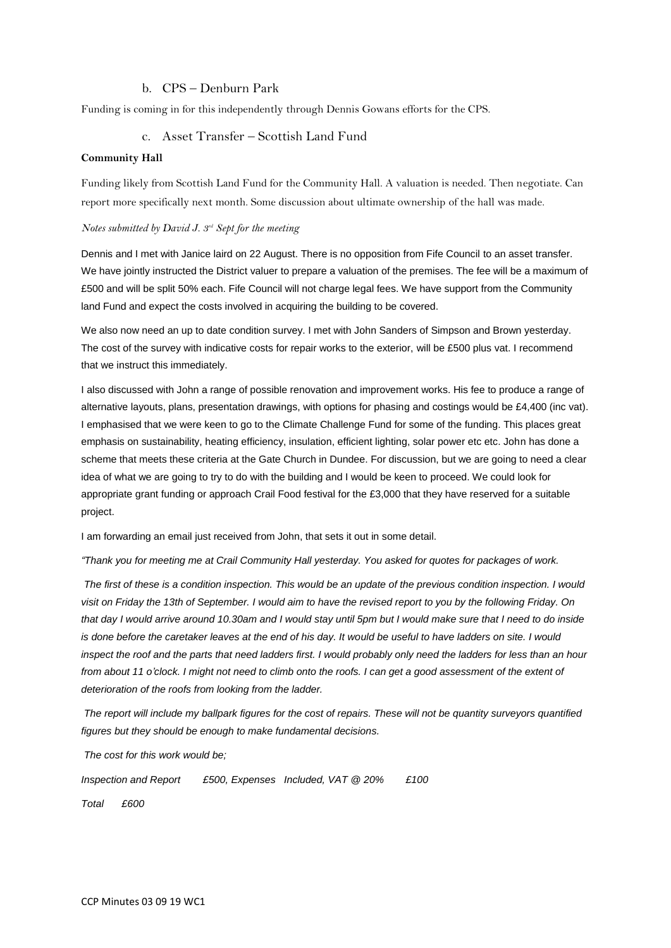# b. CPS – Denburn Park

Funding is coming in for this independently through Dennis Gowans efforts for the CPS.

#### c. Asset Transfer – Scottish Land Fund

#### **Community Hall**

Funding likely from Scottish Land Fund for the Community Hall. A valuation is needed. Then negotiate. Can report more specifically next month. Some discussion about ultimate ownership of the hall was made.

#### *Notes submitted by David J. 3<sup>rd</sup> Sept for the meeting*

Dennis and I met with Janice laird on 22 August. There is no opposition from Fife Council to an asset transfer. We have jointly instructed the District valuer to prepare a valuation of the premises. The fee will be a maximum of £500 and will be split 50% each. Fife Council will not charge legal fees. We have support from the Community land Fund and expect the costs involved in acquiring the building to be covered.

We also now need an up to date condition survey. I met with John Sanders of Simpson and Brown yesterday. The cost of the survey with indicative costs for repair works to the exterior, will be £500 plus vat. I recommend that we instruct this immediately.

I also discussed with John a range of possible renovation and improvement works. His fee to produce a range of alternative layouts, plans, presentation drawings, with options for phasing and costings would be £4,400 (inc vat). I emphasised that we were keen to go to the Climate Challenge Fund for some of the funding. This places great emphasis on sustainability, heating efficiency, insulation, efficient lighting, solar power etc etc. John has done a scheme that meets these criteria at the Gate Church in Dundee. For discussion, but we are going to need a clear idea of what we are going to try to do with the building and I would be keen to proceed. We could look for appropriate grant funding or approach Crail Food festival for the £3,000 that they have reserved for a suitable project.

I am forwarding an email just received from John, that sets it out in some detail.

*"Thank you for meeting me at Crail Community Hall yesterday. You asked for quotes for packages of work.* 

*The first of these is a condition inspection. This would be an update of the previous condition inspection. I would visit on Friday the 13th of September. I would aim to have the revised report to you by the following Friday. On that day I would arrive around 10.30am and I would stay until 5pm but I would make sure that I need to do inside is done before the caretaker leaves at the end of his day. It would be useful to have ladders on site. I would*  inspect the roof and the parts that need ladders first. I would probably only need the ladders for less than an hour *from about 11 o'clock. I might not need to climb onto the roofs. I can get a good assessment of the extent of deterioration of the roofs from looking from the ladder.* 

*The report will include my ballpark figures for the cost of repairs. These will not be quantity surveyors quantified figures but they should be enough to make fundamental decisions.* 

*The cost for this work would be;*

*Inspection and Report £500, Expenses Included, VAT @ 20% £100*

*Total £600*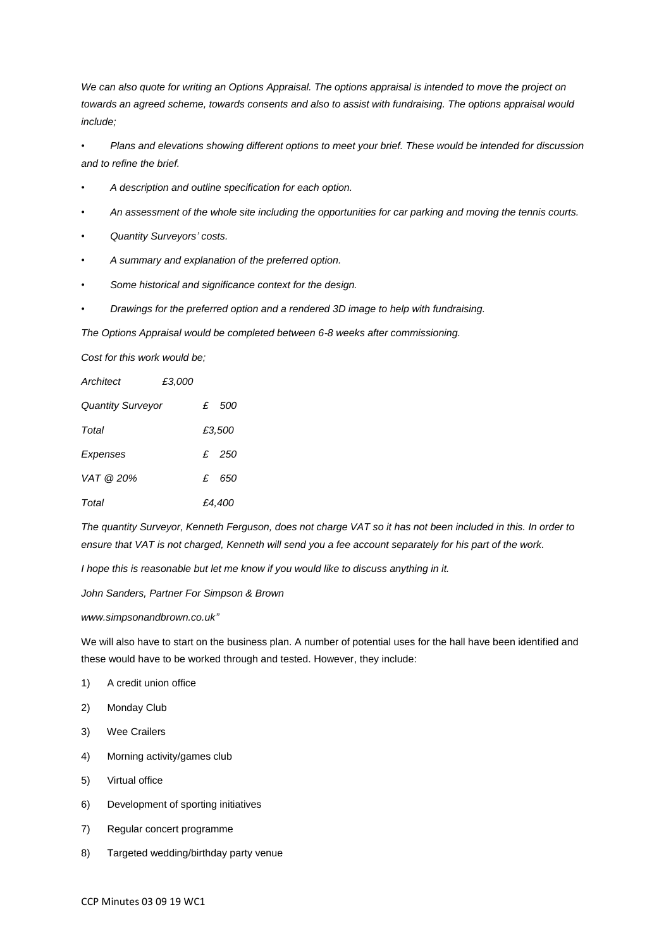*We can also quote for writing an Options Appraisal. The options appraisal is intended to move the project on towards an agreed scheme, towards consents and also to assist with fundraising. The options appraisal would include;* 

*• Plans and elevations showing different options to meet your brief. These would be intended for discussion and to refine the brief.*

- *A description and outline specification for each option.*
- *An assessment of the whole site including the opportunities for car parking and moving the tennis courts.*
- *Quantity Surveyors' costs.*
- *A summary and explanation of the preferred option.*
- *Some historical and significance context for the design.*
- *Drawings for the preferred option and a rendered 3D image to help with fundraising.*

*The Options Appraisal would be completed between 6-8 weeks after commissioning.*

*Cost for this work would be;*

| Architect                | £3.000 |              |       |
|--------------------------|--------|--------------|-------|
| <b>Quantity Surveyor</b> |        |              | £ 500 |
| Total                    |        | £3,500       |       |
| Expenses                 |        |              | £ 250 |
| VAT @ 20%                |        | $\mathbf{f}$ | 650   |
| Total                    |        | £4,400       |       |

*The quantity Surveyor, Kenneth Ferguson, does not charge VAT so it has not been included in this. In order to ensure that VAT is not charged, Kenneth will send you a fee account separately for his part of the work.*

*I hope this is reasonable but let me know if you would like to discuss anything in it.*

*John Sanders, Partner For Simpson & Brown*

*www.simpsonandbrown.co.uk"*

We will also have to start on the business plan. A number of potential uses for the hall have been identified and these would have to be worked through and tested. However, they include:

- 1) A credit union office
- 2) Monday Club
- 3) Wee Crailers
- 4) Morning activity/games club
- 5) Virtual office
- 6) Development of sporting initiatives
- 7) Regular concert programme
- 8) Targeted wedding/birthday party venue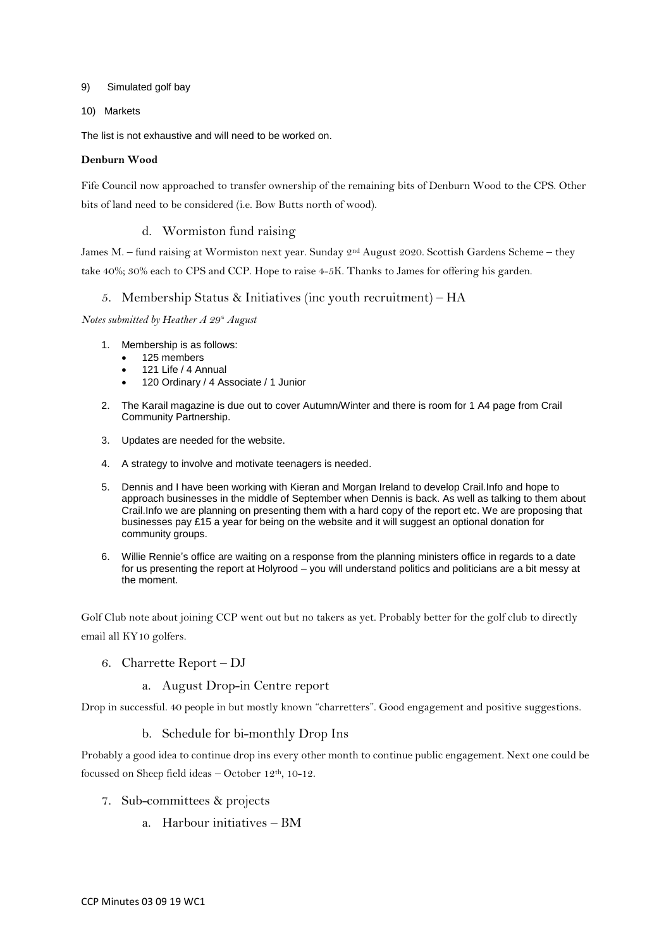#### 9) Simulated golf bay

#### 10) Markets

The list is not exhaustive and will need to be worked on.

#### **Denburn Wood**

Fife Council now approached to transfer ownership of the remaining bits of Denburn Wood to the CPS. Other bits of land need to be considered (i.e. Bow Butts north of wood).

# d. Wormiston fund raising

James M. – fund raising at Wormiston next year. Sunday 2<sup>nd</sup> August 2020. Scottish Gardens Scheme – they take 40%; 30% each to CPS and CCP. Hope to raise 4-5K. Thanks to James for offering his garden.

#### 5. Membership Status & Initiatives (inc youth recruitment) – HA

*Notes submitted by Heather A 29th August*

- 1. Membership is as follows:
	- 125 members
	- 121 Life / 4 Annual
	- 120 Ordinary / 4 Associate / 1 Junior
- 2. The Karail magazine is due out to cover Autumn/Winter and there is room for 1 A4 page from Crail Community Partnership.
- 3. Updates are needed for the website.
- 4. A strategy to involve and motivate teenagers is needed.
- 5. Dennis and I have been working with Kieran and Morgan Ireland to develop Crail.Info and hope to approach businesses in the middle of September when Dennis is back. As well as talking to them about Crail.Info we are planning on presenting them with a hard copy of the report etc. We are proposing that businesses pay £15 a year for being on the website and it will suggest an optional donation for community groups.
- 6. Willie Rennie's office are waiting on a response from the planning ministers office in regards to a date for us presenting the report at Holyrood – you will understand politics and politicians are a bit messy at the moment.

Golf Club note about joining CCP went out but no takers as yet. Probably better for the golf club to directly email all KY10 golfers.

6. Charrette Report – DJ

#### a. August Drop-in Centre report

Drop in successful. 40 people in but mostly known "charretters". Good engagement and positive suggestions.

b. Schedule for bi-monthly Drop Ins

Probably a good idea to continue drop ins every other month to continue public engagement. Next one could be focussed on Sheep field ideas – October  $12<sup>th</sup>$ , 10-12.

- 7. Sub-committees & projects
	- a. Harbour initiatives BM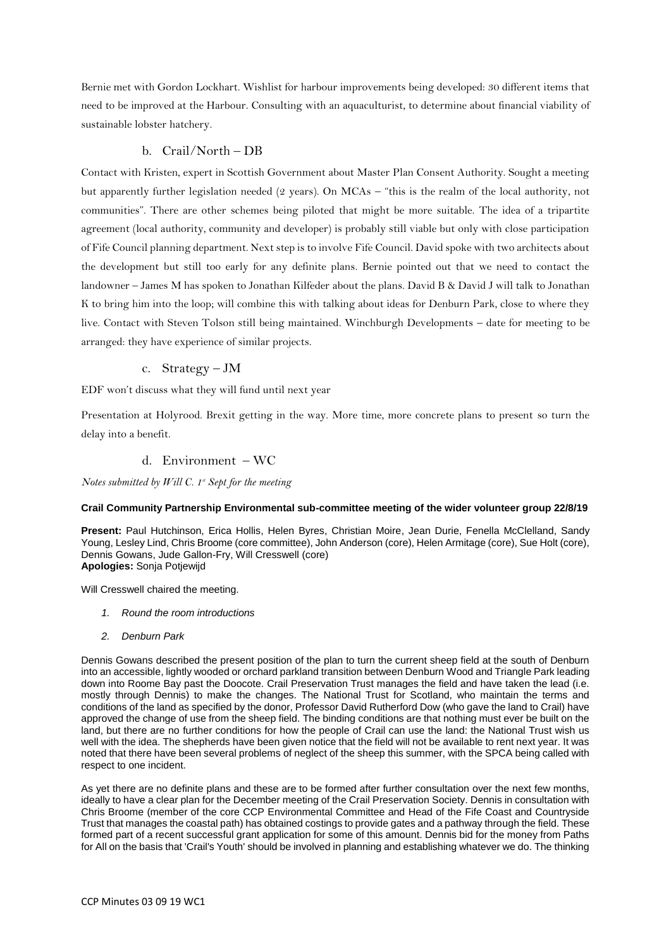Bernie met with Gordon Lockhart. Wishlist for harbour improvements being developed: 30 different items that need to be improved at the Harbour. Consulting with an aquaculturist, to determine about financial viability of sustainable lobster hatchery.

# b. Crail/North – DB

Contact with Kristen, expert in Scottish Government about Master Plan Consent Authority. Sought a meeting but apparently further legislation needed (2 years). On MCAs – "this is the realm of the local authority, not communities". There are other schemes being piloted that might be more suitable. The idea of a tripartite agreement (local authority, community and developer) is probably still viable but only with close participation of Fife Council planning department. Next step is to involve Fife Council. David spoke with two architects about the development but still too early for any definite plans. Bernie pointed out that we need to contact the landowner – James M has spoken to Jonathan Kilfeder about the plans. David B & David J will talk to Jonathan K to bring him into the loop; will combine this with talking about ideas for Denburn Park, close to where they live. Contact with Steven Tolson still being maintained. Winchburgh Developments – date for meeting to be arranged: they have experience of similar projects.

# c. Strategy – JM

EDF won't discuss what they will fund until next year

Presentation at Holyrood. Brexit getting in the way. More time, more concrete plans to present so turn the delay into a benefit.

# d. Environment – WC

*Notes submitted by Will C. 1<sup>st</sup> Sept for the meeting* 

#### **Crail Community Partnership Environmental sub-committee meeting of the wider volunteer group 22/8/19**

**Present:** Paul Hutchinson, Erica Hollis, Helen Byres, Christian Moire, Jean Durie, Fenella McClelland, Sandy Young, Lesley Lind, Chris Broome (core committee), John Anderson (core), Helen Armitage (core), Sue Holt (core), Dennis Gowans, Jude Gallon-Fry, Will Cresswell (core) **Apologies:** Sonja Potjewijd

Will Cresswell chaired the meeting.

- *1. Round the room introductions*
- *2. Denburn Park*

Dennis Gowans described the present position of the plan to turn the current sheep field at the south of Denburn into an accessible, lightly wooded or orchard parkland transition between Denburn Wood and Triangle Park leading down into Roome Bay past the Doocote. Crail Preservation Trust manages the field and have taken the lead (i.e. mostly through Dennis) to make the changes. The National Trust for Scotland, who maintain the terms and conditions of the land as specified by the donor, Professor David Rutherford Dow (who gave the land to Crail) have approved the change of use from the sheep field. The binding conditions are that nothing must ever be built on the land, but there are no further conditions for how the people of Crail can use the land: the National Trust wish us well with the idea. The shepherds have been given notice that the field will not be available to rent next year. It was noted that there have been several problems of neglect of the sheep this summer, with the SPCA being called with respect to one incident.

As yet there are no definite plans and these are to be formed after further consultation over the next few months, ideally to have a clear plan for the December meeting of the Crail Preservation Society. Dennis in consultation with Chris Broome (member of the core CCP Environmental Committee and Head of the Fife Coast and Countryside Trust that manages the coastal path) has obtained costings to provide gates and a pathway through the field. These formed part of a recent successful grant application for some of this amount. Dennis bid for the money from Paths for All on the basis that 'Crail's Youth' should be involved in planning and establishing whatever we do. The thinking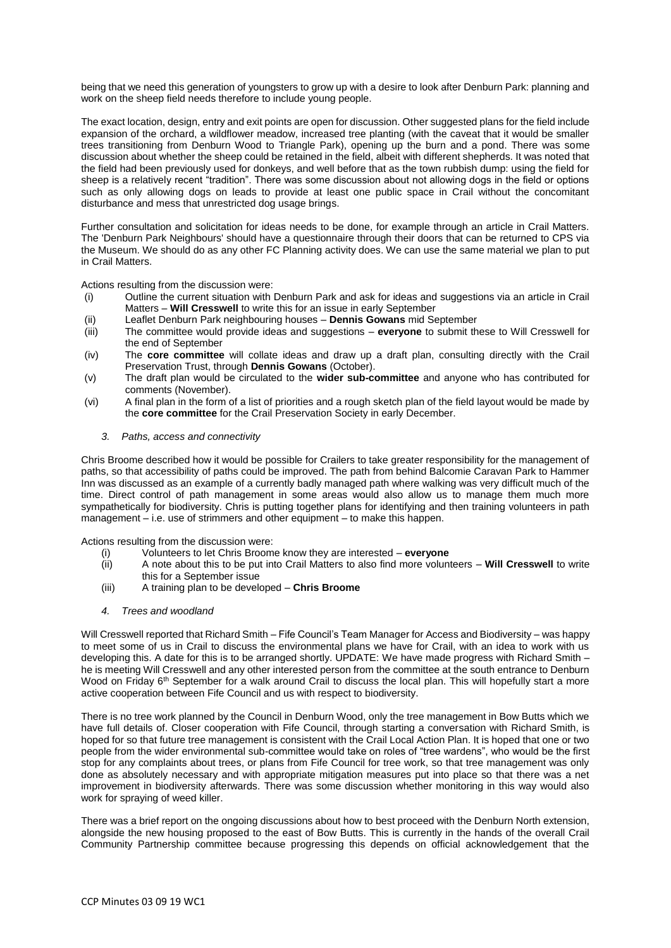being that we need this generation of youngsters to grow up with a desire to look after Denburn Park: planning and work on the sheep field needs therefore to include young people.

The exact location, design, entry and exit points are open for discussion. Other suggested plans for the field include expansion of the orchard, a wildflower meadow, increased tree planting (with the caveat that it would be smaller trees transitioning from Denburn Wood to Triangle Park), opening up the burn and a pond. There was some discussion about whether the sheep could be retained in the field, albeit with different shepherds. It was noted that the field had been previously used for donkeys, and well before that as the town rubbish dump: using the field for sheep is a relatively recent "tradition". There was some discussion about not allowing dogs in the field or options such as only allowing dogs on leads to provide at least one public space in Crail without the concomitant disturbance and mess that unrestricted dog usage brings.

Further consultation and solicitation for ideas needs to be done, for example through an article in Crail Matters. The 'Denburn Park Neighbours' should have a questionnaire through their doors that can be returned to CPS via the Museum. We should do as any other FC Planning activity does. We can use the same material we plan to put in Crail Matters.

Actions resulting from the discussion were:

- (i) Outline the current situation with Denburn Park and ask for ideas and suggestions via an article in Crail Matters – **Will Cresswell** to write this for an issue in early September
- (ii) Leaflet Denburn Park neighbouring houses **Dennis Gowans** mid September
- (iii) The committee would provide ideas and suggestions **everyone** to submit these to Will Cresswell for the end of September
- (iv) The **core committee** will collate ideas and draw up a draft plan, consulting directly with the Crail Preservation Trust, through **Dennis Gowans** (October).
- (v) The draft plan would be circulated to the **wider sub-committee** and anyone who has contributed for comments (November).
- (vi) A final plan in the form of a list of priorities and a rough sketch plan of the field layout would be made by the **core committee** for the Crail Preservation Society in early December.
	- *3. Paths, access and connectivity*

Chris Broome described how it would be possible for Crailers to take greater responsibility for the management of paths, so that accessibility of paths could be improved. The path from behind Balcomie Caravan Park to Hammer Inn was discussed as an example of a currently badly managed path where walking was very difficult much of the time. Direct control of path management in some areas would also allow us to manage them much more sympathetically for biodiversity. Chris is putting together plans for identifying and then training volunteers in path management – i.e. use of strimmers and other equipment – to make this happen.

Actions resulting from the discussion were:

- (i) Volunteers to let Chris Broome know they are interested **everyone**
- (ii) A note about this to be put into Crail Matters to also find more volunteers **Will Cresswell** to write this for a September issue
- (iii) A training plan to be developed **Chris Broome**
- *4. Trees and woodland*

Will Cresswell reported that Richard Smith – Fife Council's Team Manager for Access and Biodiversity – was happy to meet some of us in Crail to discuss the environmental plans we have for Crail, with an idea to work with us developing this. A date for this is to be arranged shortly. UPDATE: We have made progress with Richard Smith – he is meeting Will Cresswell and any other interested person from the committee at the south entrance to Denburn Wood on Friday 6<sup>th</sup> September for a walk around Crail to discuss the local plan. This will hopefully start a more active cooperation between Fife Council and us with respect to biodiversity.

There is no tree work planned by the Council in Denburn Wood, only the tree management in Bow Butts which we have full details of. Closer cooperation with Fife Council, through starting a conversation with Richard Smith, is hoped for so that future tree management is consistent with the Crail Local Action Plan. It is hoped that one or two people from the wider environmental sub-committee would take on roles of "tree wardens", who would be the first stop for any complaints about trees, or plans from Fife Council for tree work, so that tree management was only done as absolutely necessary and with appropriate mitigation measures put into place so that there was a net improvement in biodiversity afterwards. There was some discussion whether monitoring in this way would also work for spraying of weed killer.

There was a brief report on the ongoing discussions about how to best proceed with the Denburn North extension, alongside the new housing proposed to the east of Bow Butts. This is currently in the hands of the overall Crail Community Partnership committee because progressing this depends on official acknowledgement that the